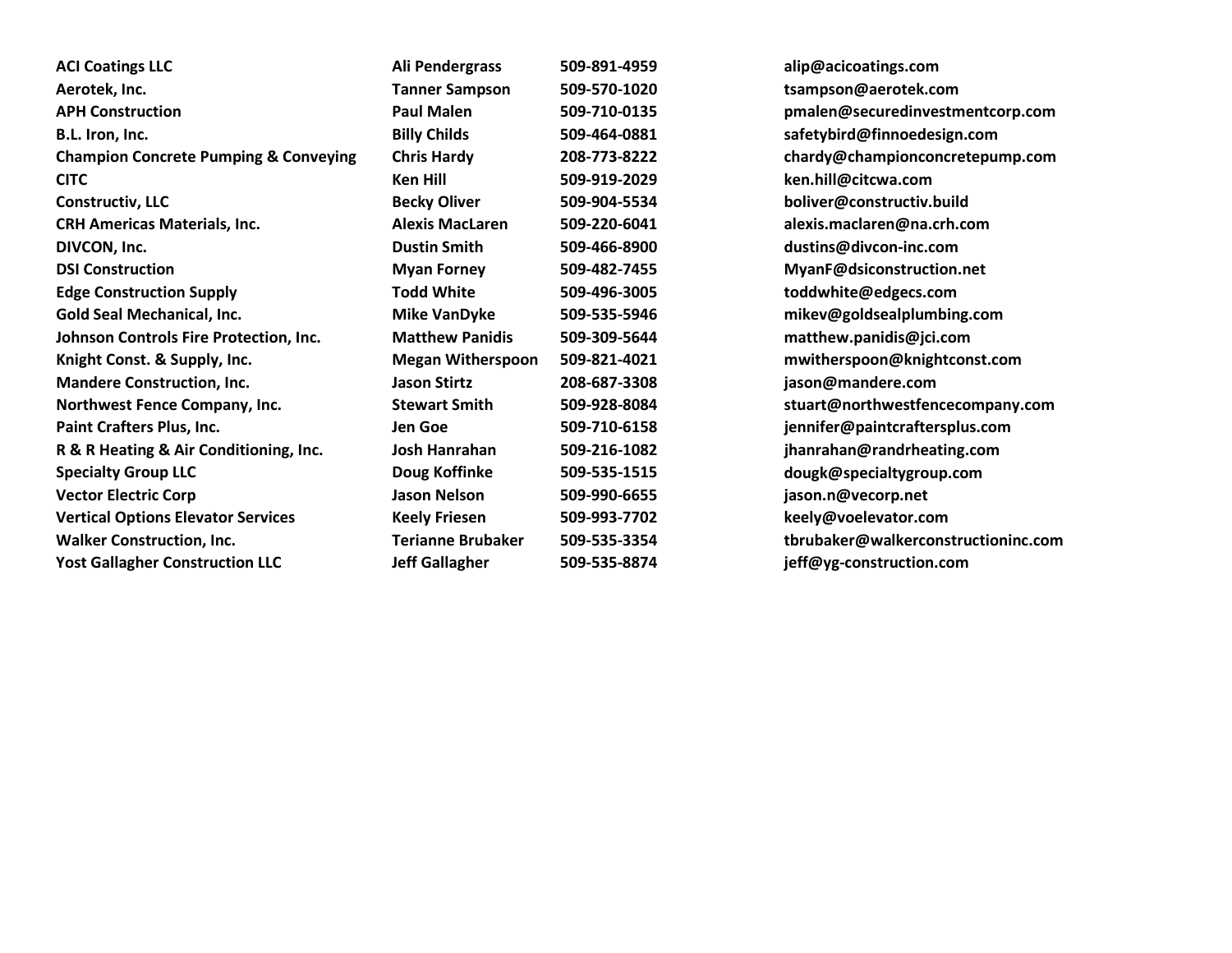| <b>ACI Coatings LLC</b>                          | Ali Pendergrass          | 509-891-4959 | alip@acicoatings.com                |
|--------------------------------------------------|--------------------------|--------------|-------------------------------------|
| Aerotek, Inc.                                    | <b>Tanner Sampson</b>    | 509-570-1020 | tsampson@aerotek.com                |
| <b>APH Construction</b>                          | <b>Paul Malen</b>        | 509-710-0135 | pmalen@securedinvestmentcorp.com    |
| B.L. Iron, Inc.                                  | <b>Billy Childs</b>      | 509-464-0881 | safetybird@finnoedesign.com         |
| <b>Champion Concrete Pumping &amp; Conveying</b> | <b>Chris Hardy</b>       | 208-773-8222 | chardy@championconcretepump.com     |
| <b>CITC</b>                                      | <b>Ken Hill</b>          | 509-919-2029 | ken.hill@citcwa.com                 |
| <b>Constructiv, LLC</b>                          | <b>Becky Oliver</b>      | 509-904-5534 | boliver@constructiv.build           |
| <b>CRH Americas Materials, Inc.</b>              | <b>Alexis MacLaren</b>   | 509-220-6041 | alexis.maclaren@na.crh.com          |
| DIVCON, Inc.                                     | <b>Dustin Smith</b>      | 509-466-8900 | dustins@divcon-inc.com              |
| <b>DSI Construction</b>                          | <b>Myan Forney</b>       | 509-482-7455 | MyanF@dsiconstruction.net           |
| <b>Edge Construction Supply</b>                  | <b>Todd White</b>        | 509-496-3005 | toddwhite@edgecs.com                |
| <b>Gold Seal Mechanical, Inc.</b>                | <b>Mike VanDyke</b>      | 509-535-5946 | mikev@goldsealplumbing.com          |
| Johnson Controls Fire Protection, Inc.           | <b>Matthew Panidis</b>   | 509-309-5644 | matthew.panidis@jci.com             |
| Knight Const. & Supply, Inc.                     | <b>Megan Witherspoon</b> | 509-821-4021 | mwitherspoon@knightconst.com        |
| <b>Mandere Construction, Inc.</b>                | <b>Jason Stirtz</b>      | 208-687-3308 | jason@mandere.com                   |
| Northwest Fence Company, Inc.                    | <b>Stewart Smith</b>     | 509-928-8084 | stuart@northwestfencecompany.com    |
| <b>Paint Crafters Plus, Inc.</b>                 | Jen Goe                  | 509-710-6158 | jennifer@paintcraftersplus.com      |
| R & R Heating & Air Conditioning, Inc.           | Josh Hanrahan            | 509-216-1082 | jhanrahan@randrheating.com          |
| <b>Specialty Group LLC</b>                       | Doug Koffinke            | 509-535-1515 | dougk@specialtygroup.com            |
| <b>Vector Electric Corp</b>                      | <b>Jason Nelson</b>      | 509-990-6655 | jason.n@vecorp.net                  |
| <b>Vertical Options Elevator Services</b>        | <b>Keely Friesen</b>     | 509-993-7702 | keely@voelevator.com                |
| <b>Walker Construction, Inc.</b>                 | <b>Terianne Brubaker</b> | 509-535-3354 | tbrubaker@walkerconstructioninc.com |
| <b>Yost Gallagher Construction LLC</b>           | <b>Jeff Gallagher</b>    | 509-535-8874 | jeff@yg-construction.com            |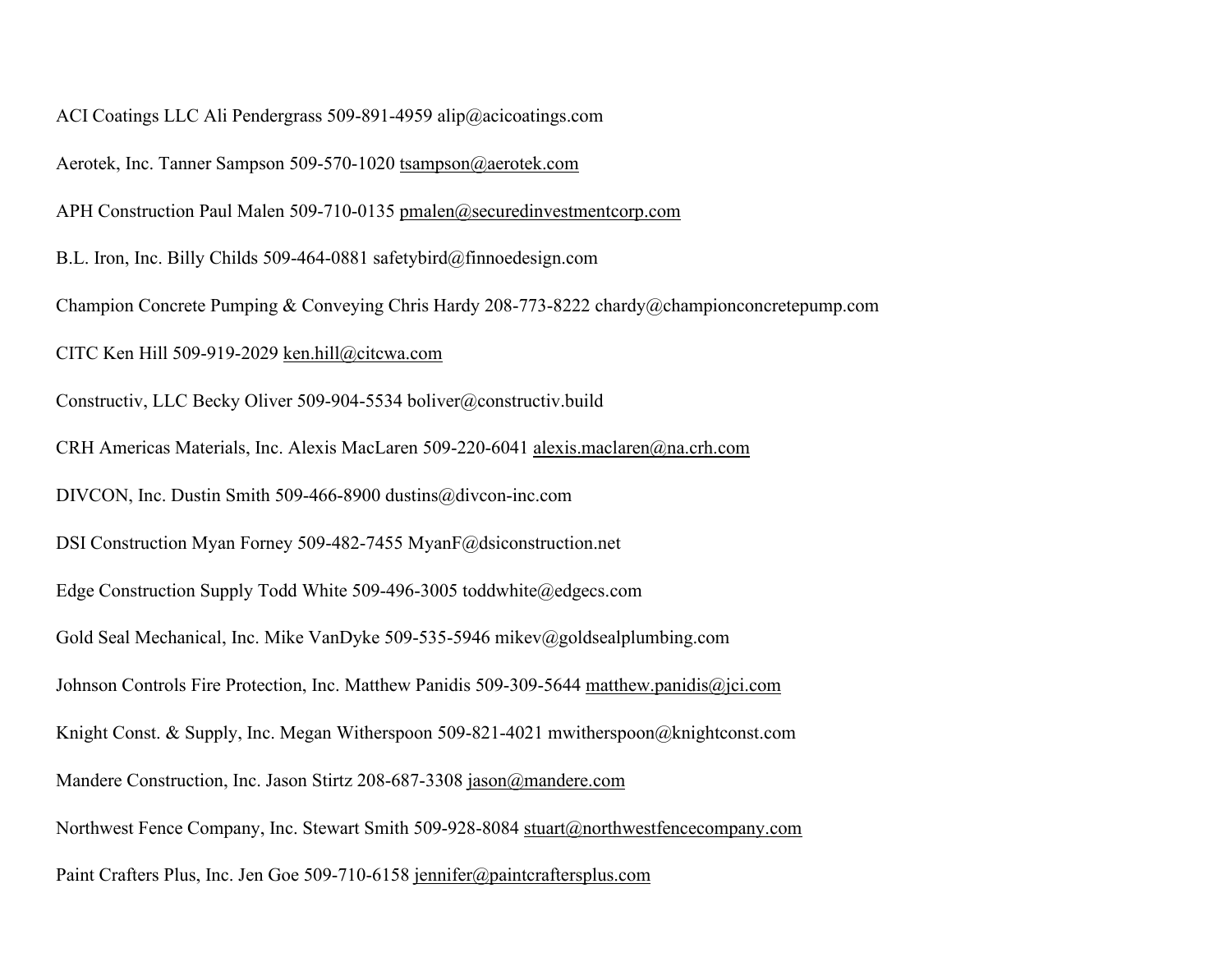ACI Coatings LLC Ali Pendergrass 509-891-4959 alip@acicoatings.com

Aerotek, Inc. Tanner Sampson 509-570-1020 [tsampson@aerotek.com](mailto:tsampson@aerotek.com)

APH Construction Paul Malen 509-710-0135 [pmalen@securedinvestmentcorp.com](mailto:pmalen@securedinvestmentcorp.com)

B.L. Iron, Inc. Billy Childs 509-464-0881 safetybird@finnoedesign.com

Champion Concrete Pumping & Conveying Chris Hardy 208-773-8222 chardy@championconcretepump.com

CITC Ken Hill 509-919-2029 [ken.hill@citcwa.com](mailto:ken.hill@citcwa.com)

Constructiv, LLC Becky Oliver 509-904-5534 boliver@constructiv.build

CRH Americas Materials, Inc. Alexis MacLaren 509-220-6041 [alexis.maclaren@na.crh.com](mailto:alexis.maclaren@na.crh.com)

DIVCON, Inc. Dustin Smith 509-466-8900 dustins@divcon-inc.com

DSI Construction Myan Forney 509-482-7455 MyanF@dsiconstruction.net

Edge Construction Supply Todd White 509-496-3005 toddwhite@edgecs.com

Gold Seal Mechanical, Inc. Mike VanDyke 509-535-5946 mikev@goldsealplumbing.com

Johnson Controls Fire Protection, Inc. Matthew Panidis 509-309-5644 [matthew.panidis@jci.com](mailto:matthew.panidis@jci.com)

Knight Const. & Supply, Inc. Megan Witherspoon 509-821-4021 mwitherspoon@knightconst.com

Mandere Construction, Inc. Jason Stirtz 208-687-3308 [jason@mandere.com](mailto:jason@mandere.com)

Northwest Fence Company, Inc. Stewart Smith 509-928-8084 [stuart@northwestfencecompany.com](mailto:stuart@northwestfencecompany.com)

Paint Crafters Plus, Inc. Jen Goe 509-710-6158 [jennifer@paintcraftersplus.com](mailto:jennifer@paintcraftersplus.com)